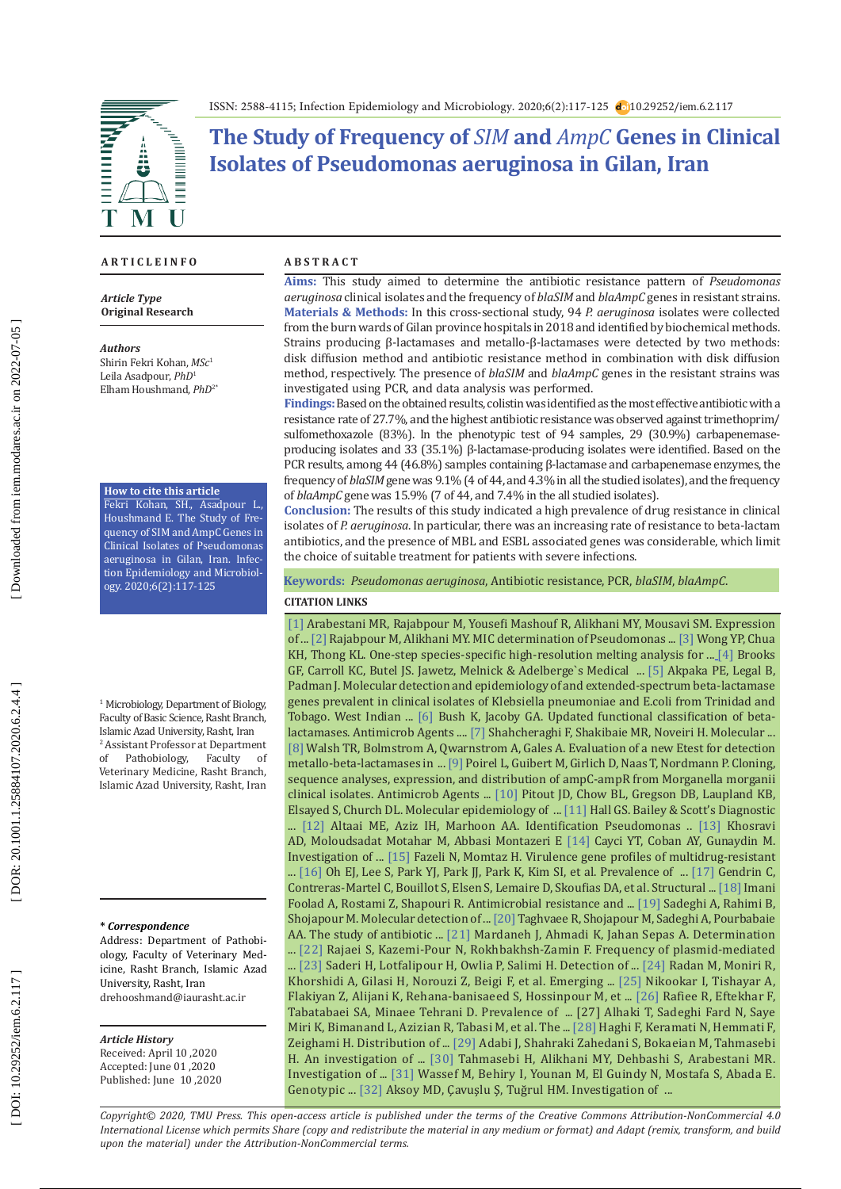**EXHIBITION** Â  $\bar{\mathbf{I}}$ M

ISSN: 2588-4115; Infection Epidemiology and Microbiology. 2020;6(2):117-125 10.29252/iem.6.2.117

# **The Study of Frequency of** *SIM* **and** *AmpC* **Genes in Clinical Isolates of Pseudomonas aeruginosa in Gilan, Iran**

### **A R T I C L E I N F O A B S T R A C T**

*Article Type* **Original Research**

#### *Authors*

Shirin Fekri Kohan, *MSc* 1 Leila Asadpour, *PhD* 1 Elham Houshmand, *PhD*2\*

#### **How to cite this article**

Fekri Kohan, SH., Asadpour L., Houshmand E. The Study of Fre quency of SIM and AmpC Genes in Clinical Isolates of Pseudomonas aeruginosa in Gilan, Iran. Infec tion Epidemiology and Microbiol ogy. 2020;6(2):117-125

1 Microbiology, Department of Biology, Faculty of Basic Science, Rasht Branch, Islamic Azad University, Rasht, Iran 2 Assistant Professor at Department of Pathobiology, Faculty of Veterinary Medicine, Rasht Branch, Islamic Azad University, Rasht, Iran

#### **\*** *Correspondence*

Address: Department of Pathobi ology, Faculty of Veterinary Med icine, Rasht Branch, Islamic Azad University, Rasht, Iran [drehooshmand@iaurasht.ac.ir](mailto:drehooshmand@iaurasht.ac.ir)

# *Article History*

Received: April 10 ,2020 Accepted: June 01 ,2020 Published: June 10 ,2020

**Aims:** This study aimed to determine the antibiotic resistance pattern of *Pseudomonas aeruginosa* clinical isolates and the frequency of *blaSIM* and *blaAmpC* genes in resistant strains. **Materials & Methods:** In this cross-sectional study, 94 *P. aeruginosa* isolates were collected from the burn wards of Gilan province hospitals in 2018 and identified by biochemical methods. Strains producing β-lactamases and metallo-β-lactamases were detected by two methods: disk diffusion method and antibiotic resistance method in combination with disk diffusion method, respectively. The presence of *blaSIM* and *blaAmpC* genes in the resistant strains was investigated using PCR, and data analysis was performed.

**Findings:** Based on the obtained results, colistin was identified as the most effective antibiotic with a resistance rate of 27.7%, and the highest antibiotic resistance was observed against trimethoprim/ sulfomethoxazole (83%). In the phenotypic test of 94 samples, 29 (30.9%) carbapenemaseproducing isolates and 33 (35.1%) β-lactamase-producing isolates were identified. Based on the PCR results, among 44 (46.8%) samples containing β-lactamase and carbapenemase enzymes, the frequency of *blaSIM* gene was 9.1% (4 of 44, and 4.3% in all the studied isolates), and the frequency of *blaAmpC* gene was 15.9% (7 of 44, and 7.4% in the all studied isolates).

**Conclusion:** The results of this study indicated a high prevalence of drug resistance in clinical isolates of *P. aeruginosa*. In particular, there was an increasing rate of resistance to beta-lactam antibiotics, and the presence of MBL and ESBL associated genes was considerable, which limit the choice of suitable treatment for patients with severe infections.

**Keywords:** *Pseudomonas aeruginosa*, Antibiotic resistance, PCR, *blaSIM*, *blaAmpC* .

#### **CITATION LINKS**

[\[1\]](http://eprints.umsha.ac.ir/1684/) Arabestani MR, Rajabpour M, Yousefi Mashouf R, Alikhani MY, Mousavi SM. Expression of ... [\[2\]](http://ijmm.ir/article-1-212-en.html) Rajabpour M, Alikhani MY. MIC determination of Pseudomonas ... [\[3\]](https://www.sciencedirect.com/science/article/pii/S0167701214002917) Wong YP, Chua KH, Thong KL. One-step species-specific high-resolution melting analysis for ... [\[4\]](https://www.google.com/url?sa=t&rct=j&q=&esrc=s&source=web&cd=&cad=rja&uact=8&ved=2ahUKEwjjxPL-l9zqAhW3A2MBHVqrCUMQFjACegQIARAB&url=https%3A%2F%2Fwww.amazon.com%2FMelnick-Adelbergs-Medical-Microbiology-Twenty-Fifth%2Fdp%2F0071624961&usg=AOvVaw1MqJXIwSGtLv\
TbiLTWdH4J) Brooks GF, Carroll KC, Butel JS. Jawetz, Melnick & Adelberge`s Medical ... [\[5\]](https://pubmed.ncbi.nlm.nih.gov/21702229/) Akpaka PE, Legal B, Padman J. Molecular detection and epidemiology of and extended-spectrum beta-lactamase genes prevalent in clinical isolates of Klebsiella pneumoniae and E.coli from Trinidad and Tobago. West Indian ... [\[6\]](https://aac.asm.org/content/54/3/969.short) Bush K, Jacoby GA. Updated functional classification of betalactamases. Antimicrob Agents .... [\[7\]](https://www.researchgate.net/publication/205309339_Molecular_identification_of_ESBL_genes_blaGES-1_blaVEB-1_blaCTX-M_blaOXA-1_blaOXA-4_blaOXA-10_and_blaPER-1_in_pseudomonas_aeruginosa_strains_isolated_from_burn_patients_by_PCR_RFLP_and_sequencing_tech) Shahcheraghi F, Shakibaie MR, Noveiri H. Molecular ... [\[8\]](https://jcm.asm.org/content/40/8/2755.short) Walsh TR, Bolmstrom A, Qwarnstrom A, Gales A. Evaluation of a new Etest for detection metallo-beta-lactamases in ... [\[9\]](https://aac.asm.org/content/43/4/769.short) Poirel L, Guibert M, Girlich D, Naas T, Nordmann P. Cloning, sequence analyses, expression, and distribution of ampC-ampR from Morganella morganii clinical isolates. Antimicrob Agents ... [\[10\]](https://jcm.asm.org/content/45/2/294.short) Pitout JD, Chow BL, Gregson DB, Laupland KB, Elsayed S, Church DL. Molecular epidemiology of ... [\[11\]](https://academic.oup.com/labmed/article-abstract/44/4/e138/2505112) Hall GS. Bailey & Scott's Diagnostic ... [\[12\]](https://www.iasj.net/iasj?func=article&aId=91461) Altaai ME, Aziz IH, Marhoon AA. Identification Pseudomonas .. [\[13\]](https://journals.plos.org/plosone/article?id=10.1371/journal.pone.0183061) Khosravi AD, Moloudsadat Motahar M, Abbasi Montazeri E [\[14\]](http://www.ijmm.org/article.asp?issn=0255-0857;year=2014;volume=32;issue=3;spage=285;epage=289;aulast=Cayci) Cayci YT, Coban AY, Gunaydin M. Investigation of ... [\[15\]](https://www.ncbi.nlm.nih.gov/pmc/articles/PMC4329751/) Fazeli N, Momtaz H. Virulence gene profiles of multidrug-resistant ... [\[16\]](https://www.sciencedirect.com/science/article/pii/S0167701203000903) Oh EJ, Lee S, Park YJ, Park JJ, Park K, Kim SI, et al. Prevalence of ... [\[17\]](https://journals.plos.org/plospathogens/article?id=10.1371/journal.ppat.1002637) Gendrin C, Contreras-Martel C, Bouillot S, Elsen S, Lemaire D, Skoufias DA, et al. Structural ... [\[18\]](https://www.sid.ir/en/journal/ViewPaper.aspx?ID=259730) Imani Foolad A, Rostami Z, Shapouri R. Antimicrobial resistance and ... [\[19\]](https://academicjournals.org/journal/AJMR/article-abstract/B9776DE25998) Sadeghi A, Rahimi B, Shojapour M. Molecular detection of ... [\[20\]](http://journal.muq.ac.ir/browse.php?a_id=150&slc_lang=en&sid=1&printcase=1&hbnr=1&hmb=1) Taghvaee R, Shojapour M, Sadeghi A, Pourbabaie AA. The study of antibiotic ... [\[21\]](http://eprints.fums.ac.ir/771/) Mardaneh J, Ahmadi K, Jahan Sepas A. Determination ... [\[22\]](http://ijmm.ir/article-1-683-en.html) Rajaei S, Kazemi-Pour N, Rokhbakhsh-Zamin F. Frequency of plasmid-mediated ... [\[23\]](https://academic.oup.com/labmed/article-abstract/41/10/609/2657568) Saderi H, Lotfalipour H, Owlia P, Salimi H. Detection of ... [\[24\]](https://www.ncbi.nlm.nih.gov/pmc/articles/PMC5078761/) Radan M, Moniri R, Khorshidi A, Gilasi H, Norouzi Z, Beigi F, et al. Emerging ... [\[25\]](https://www.ncbi.nlm.nih.gov/pmc/articles/PMC3577559/) Nikookar I, Tishayar A, Flakiyan Z, Alijani K, Rehana-banisaeed S, Hossinpour M, et ... [\[26\]](https://www.ncbi.nlm.nih.gov/pmc/articles/PMC4255381/) Rafiee R, Eftekhar F, Tabatabaei SA, Minaee Tehrani D. Prevalence of ... [27] Alhaki T, Sadeghi Fard N, Saye Miri K, Bimanand L, Azizian R, Tabasi M, et al. The ... [\[28\]](http://jhs.modares.ac.ir/article-4-8568-en.pdf) Haghi F, Keramati N, Hemmati F, Zeighami H. Distribution of ... [\[29\]](http://journal.muq.ac.ir/browse.php?a_id=666&sid=1&slc_lang=en) Adabi J, Shahraki Zahedani S, Bokaeian M, Tahmasebi H. An investigation of ... [\[30\]](https://www.researchgate.net/profile/Mohammad_Reza_Arabestani/publication/332596327_Investigation_of_the_Relationship_between_the_Presence_of_Genes_Producing_Toxin_and_Antibiotic_Resistance_Pattern_in_Pseudomonas_aeruginosa_Strains_Isolated_from_Burn_Woun\
ds/links/5ce4e5b8a6fdccc9ddc4be65/Investigation-of-the-Relationship-between-the-Presence-of-Genes-Producing-Toxin-and-Antibiotic-Resistance-Pattern-in-Pseudomonas-aeruginosa-Strains-Isolated-from-Burn-Wounds.pdf) Tahmasebi H, Alikhani MY, Dehbashi S, Arabestani MR. Investigation of ... [\[31\]](https://www.ncbi.nlm.nih.gov/pmc/articles/PMC4138665/) Wassef M, Behiry I, Younan M, El Guindy N, Mostafa S, Abada E. Genotypic ... [\[32\]](https://www.ncbi.nlm.nih.gov/pmc/articles/PMC4342142/) Aksoy MD, Çavuşlu Ş, Tuğrul HM. Investigation of ...

*Copyright© 2020, TMU Press. This open-access article is published under the terms of the Creative Commons Attribution-NonCommercial 4.0 International License which permits Share (copy and redistribute the material in any medium or format) and Adapt (remix, transform, and build upon the material) under the Attribution-NonCommercial terms.*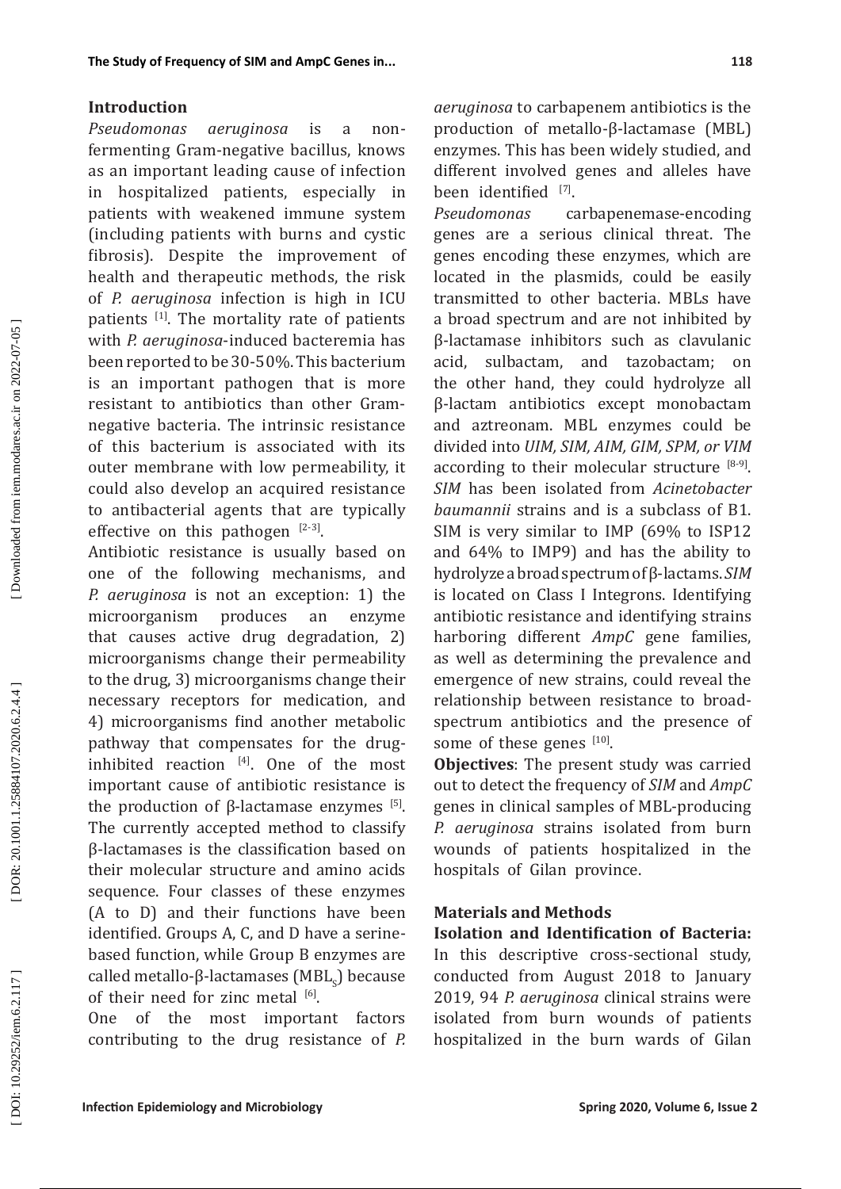## **Introduction**

*Pseudomonas aeruginosa* is a nonfermenting Gram-negative bacillus, knows as an important leading cause of infection in hospitalized patients, especially in patients with weakened immune system (including patients with burns and cystic fibrosis). Despite the improvement of health and therapeutic methods, the risk of *P. aeruginosa* infection is high in ICU patients [1]. The mortality rate of patients with *P. aeruginosa*-induced bacteremia has been reported to be 30-50%. This bacterium is an important pathogen that is more resistant to antibiotics than other Gramnegative bacteria. The intrinsic resistance of this bacterium is associated with its outer membrane with low permeability, it could also develop an acquired resistance to antibacterial agents that are typically effective on this pathogen  $[2-3]$ .

Antibiotic resistance is usually based on one of the following mechanisms, and *P. aeruginosa* is not an exception: 1) the microorganism produces an enzyme that causes active drug degradation, 2) microorganisms change their permeability to the drug, 3) microorganisms change their necessary receptors for medication, and 4) microorganisms find another metabolic pathway that compensates for the druginhibited reaction  $[4]$ . One of the most important cause of antibiotic resistance is the production of β-lactamase enzymes  $[5]$ . The currently accepted method to classify β-lactamases is the classification based on their molecular structure and amino acids sequence. Four classes of these enzymes (A to D) and their functions have been identified. Groups A, C, and D have a serinebased function, while Group B enzymes are called metallo-β-lactamases  $(MBL<sub>s</sub>)$  because of their need for zinc metal  $[6]$ .

One of the most important factors contributing to the drug resistance of *P.*  *aeruginosa* to carbapenem antibiotics is the production of metallo-β-lactamase (MBL) enzymes. This has been widely studied, and different involved genes and alleles have been identified [7].

*Pseudomonas* carbapenemase-encoding genes are a serious clinical threat. The genes encoding these enzymes, which are located in the plasmids, could be easily transmitted to other bacteria. MBLs have a broad spectrum and are not inhibited by β-lactamase inhibitors such as clavulanic acid, sulbactam, and tazobactam; on the other hand, they could hydrolyze all β-lactam antibiotics except monobactam and aztreonam. MBL enzymes could be divided into *UIM, SIM, AIM, GIM, SPM, or VIM* according to their molecular structure  $[8-9]$ . *SIM* has been isolated from *Acinetobacter baumannii* strains and is a subclass of B1. SIM is very similar to IMP (69% to ISP12 and 64% to IMP9) and has the ability to hydrolyze a broad spectrum of β-lactams. *SIM* is located on Class I Integrons. Identifying antibiotic resistance and identifying strains harboring different *AmpC* gene families, as well as determining the prevalence and emergence of new strains, could reveal the relationship between resistance to broadspectrum antibiotics and the presence of some of these genes [10].

**Objectives**: The present study was carried out to detect the frequency of *SIM* and *AmpC* genes in clinical samples of MBL-producing *P. aeruginosa* strains isolated from burn wounds of patients hospitalized in the hospitals of Gilan province.

# **Materials and Methods**

**Isolation and Identification of Bacteria:**  In this descriptive cross-sectional study, conducted from August 2018 to January 2019, 94 *P. aeruginosa* clinical strains were isolated from burn wounds of patients hospitalized in the burn wards of Gilan

DOI: 10.29252/iem.6.2.117]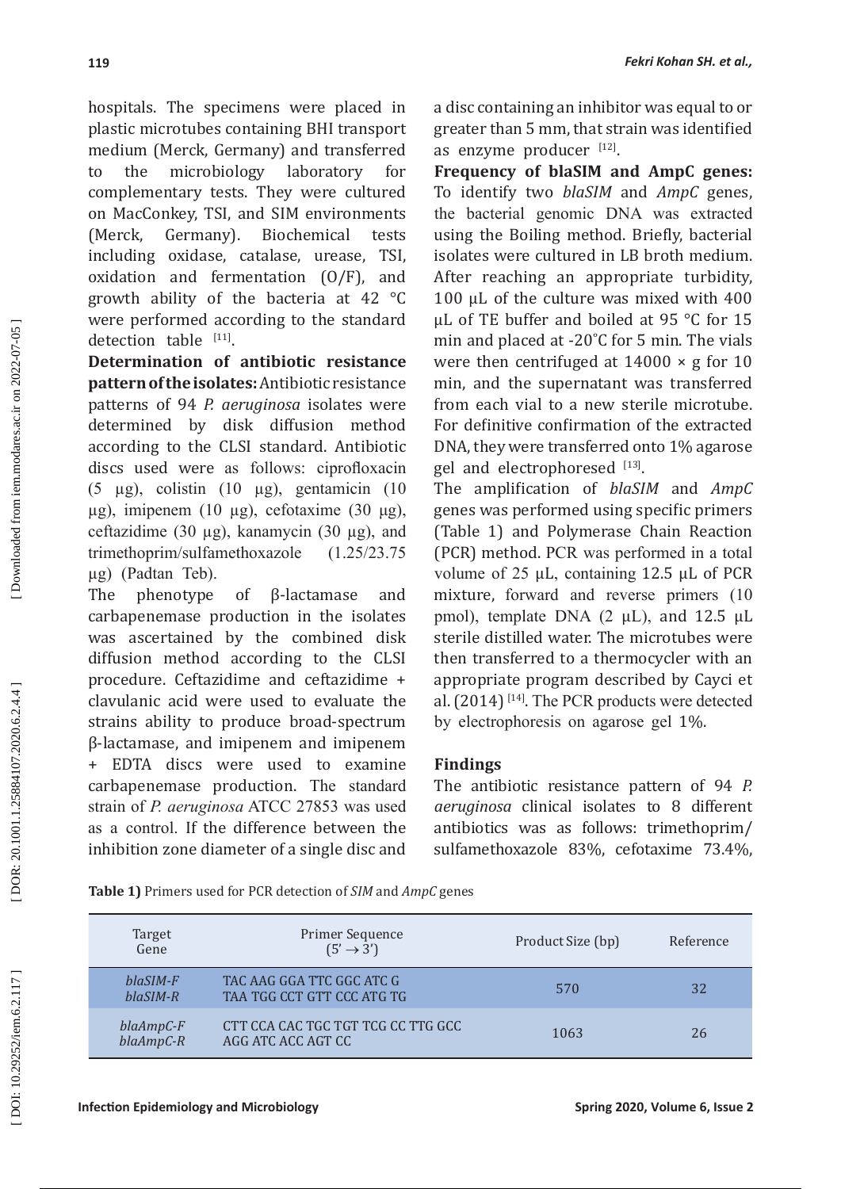hospitals. The specimens were placed in plastic microtubes containing BHI transport medium (Merck, Germany) and transferred to the microbiology laboratory for complementary tests. They were cultured on MacConkey, TSI, and SIM environments<br>(Merck. Germany). Biochemical tests (Merck, Germany). Biochemical including oxidase, catalase, urease, TSI, oxidation and fermentation (O/F), and growth ability of the bacteria at 42 °C were performed according to the standard detection table [11].

**Determination of antibiotic resistance pattern of the isolates:** Antibiotic resistance patterns of 94 *P. aeruginosa* isolates were determined by disk diffusion method according to the CLSI standard. Antibiotic discs used were as follows: ciprofloxacin (5 µg), colistin (10 µg), gentamicin (10 μg), imipenem (10 μg), cefotaxime (30 μg), ceftazidime (30 µg), kanamycin (30 µg), and trimethoprim/sulfamethoxazole (1.25/23.75 µg) (Padtan Teb).

The phenotype of β-lactamase and carbapenemase production in the isolates was ascertained by the combined disk diffusion method according to the CLSI procedure. Ceftazidime and ceftazidime + clavulanic acid were used to evaluate the strains ability to produce broad-spectrum β-lactamase, and imipenem and imipenem + EDTA discs were used to examine carbapenemase production. The standard strain of *P. aeruginosa* ATCC 27853 was used as a control. If the difference between the inhibition zone diameter of a single disc and a disc containing an inhibitor was equal to or greater than 5 mm, that strain was identified as enzyme producer  $[12]$ .

**Frequency of blaSIM and AmpC genes:** To identify two *blaSIM* and *AmpC* genes, the bacterial genomic DNA was extracted using the Boiling method. Briefly, bacterial isolates were cultured in LB broth medium. After reaching an appropriate turbidity, 100 μL of the culture was mixed with 400 μL of TE buffer and boiled at 95 °C for 15 min and placed at -20˚C for 5 min. The vials were then centrifuged at  $14000 \times g$  for 10 min, and the supernatant was transferred from each vial to a new sterile microtube. For definitive confirmation of the extracted DNA, they were transferred onto 1% agarose gel and electrophoresed [13].

The amplification of *blaSIM* and *AmpC* genes was performed using specific primers (Table 1) and Polymerase Chain Reaction (PCR) method. PCR was performed in a total volume of 25 µL, containing 12.5 µL of PCR mixture, forward and reverse primers (10 pmol), template DNA  $(2 \mu L)$ , and 12.5  $\mu L$ sterile distilled water. The microtubes were then transferred to a thermocycler with an appropriate program described by Cayci et al. (2014) [14]. The PCR products were detected by electrophoresis on agarose gel 1%.

# **Findings**

The antibiotic resistance pattern of 94 *P. aeruginosa* clinical isolates to 8 different antibiotics was as follows: trimethoprim/ sulfamethoxazole 83%, cefotaxime 73.4%,

**Table 1)** Primers used for PCR detection of *SIM* and *AmpC* genes

| Target<br>Gene             | Primer Sequence<br>$(5' \rightarrow 3')$                 | Product Size (bp) | Reference |
|----------------------------|----------------------------------------------------------|-------------------|-----------|
| $blaSIM-F$<br>$blaSIM-R$   | TAC AAG GGA TTC GGC ATC G<br>TAA TGG CCT GTT CCC ATG TG  | 570               | 32        |
| $blaAmpC-F$<br>$blaAmpC-R$ | CTT CCA CAC TGC TGT TCG CC TTG GCC<br>AGG ATC ACC AGT CC | 1063              | 26        |

DOR: 20.1001.1.25884107.2020.6.2.4.4

DOI: 10.29252/iem.6.2.117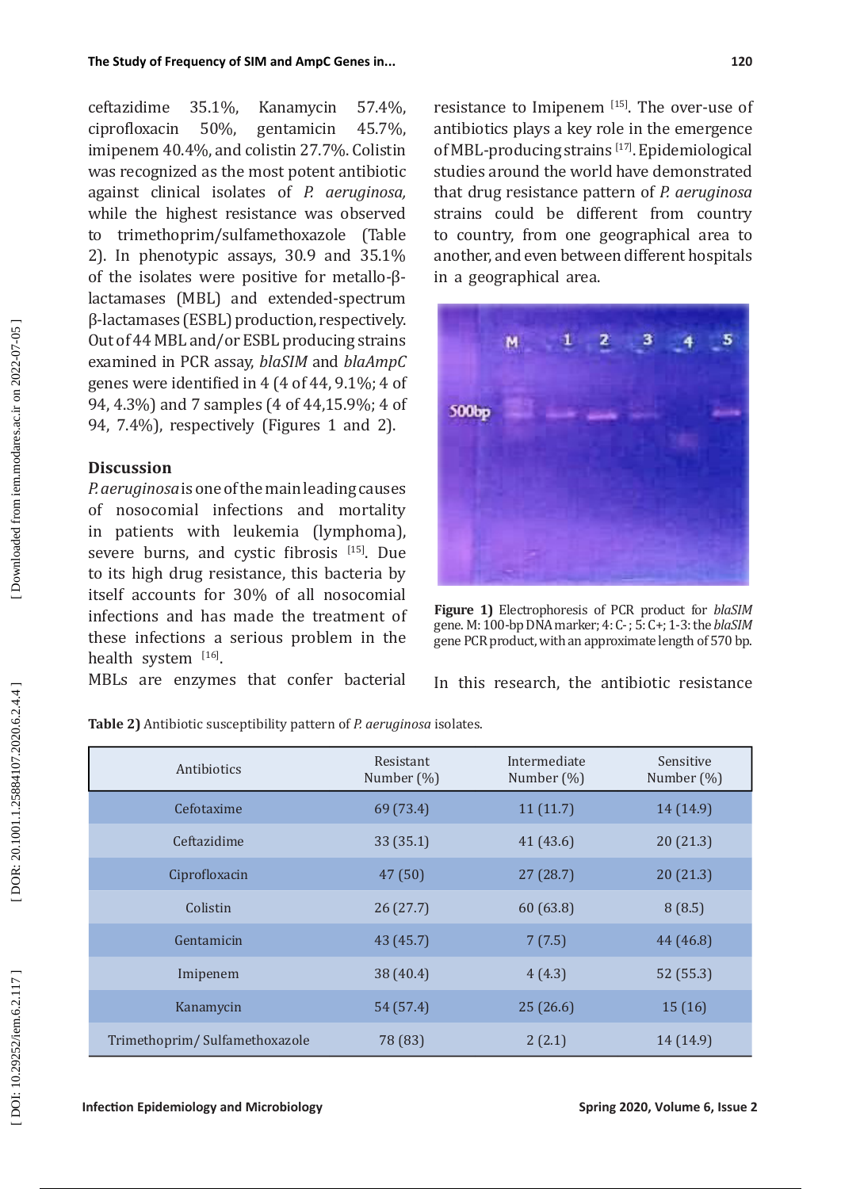ceftazidime 35.1%, Kanamycin 57.4%,<br>ciprofloxacin 50%, gentamicin 45.7%, ciprofloxacin 50%, gentamicin 45.7%, imipenem 40.4%, and colistin 27.7%. Colistin was recognized as the most potent antibiotic against clinical isolates of *P. aeruginosa,* while the highest resistance was observed to trimethoprim/sulfamethoxazole (Table 2). In phenotypic assays, 30.9 and 35.1% of the isolates were positive for metallo-βlactamases (MBL) and extended-spectrum β-lactamases (ESBL) production, respectively. Out of 44 MBL and/or ESBL producing strains examined in PCR assay, *blaSIM* and *blaAmpC* genes were identified in 4 (4 of 44, 9.1%; 4 of 94, 4.3%) and 7 samples (4 of 44,15.9%; 4 of 94, 7.4%), respectively (Figures 1 and 2).

## **Discussion**

Downloaded from iem.modares.ac.ir on 2022-07-05

*P. aeruginosa* is one of the main leading causes of nosocomial infections and mortality in patients with leukemia (lymphoma), severe burns, and cystic fibrosis [15]. Due to its high drug resistance, this bacteria by itself accounts for 30% of all nosocomial infections and has made the treatment of these infections a serious problem in the health system [16].

MBLs are enzymes that confer bacterial

resistance to Imipenem [15]. The over-use of antibiotics plays a key role in the emergence of MBL-producing strains [17]. Epidemiological studies around the world have demonstrated that drug resistance pattern of *P. aeruginosa* strains could be different from country to country, from one geographical area to another, and even between different hospitals in a geographical area.



**Figure 1)** Electrophoresis of PCR product for *blaSIM* gene. M: 100-bp DNA marker; 4: C- ; 5: C+; 1-3: the *blaSIM* gene PCR product, with an approximate length of 570 bp.

In this research, the antibiotic resistance

**Table 2)** Antibiotic susceptibility pattern of *P. aeruginosa* isolates.

| Antibiotics                   | Resistant<br>Number (%) | Intermediate<br>Number $(\%)$ | Sensitive<br>Number (%) |
|-------------------------------|-------------------------|-------------------------------|-------------------------|
| Cefotaxime                    | 69 (73.4)               | 11(11.7)                      | 14 (14.9)               |
| Ceftazidime                   | 33 (35.1)               | 41(43.6)                      | 20(21.3)                |
| Ciprofloxacin                 | 47(50)                  | 27(28.7)                      | 20(21.3)                |
| Colistin                      | 26(27.7)                | 60(63.8)                      | 8(8.5)                  |
| Gentamicin                    | 43 (45.7)               | 7(7.5)                        | 44 (46.8)               |
| Imipenem                      | 38 (40.4)               | 4(4.3)                        | 52 (55.3)               |
| Kanamycin                     | 54 (57.4)               | 25(26.6)                      | 15(16)                  |
| Trimethoprim/Sulfamethoxazole | 78 (83)                 | 2(2.1)                        | 14 (14.9)               |

DOR: 20.1001.1.25884107.2020.6.2.4.4]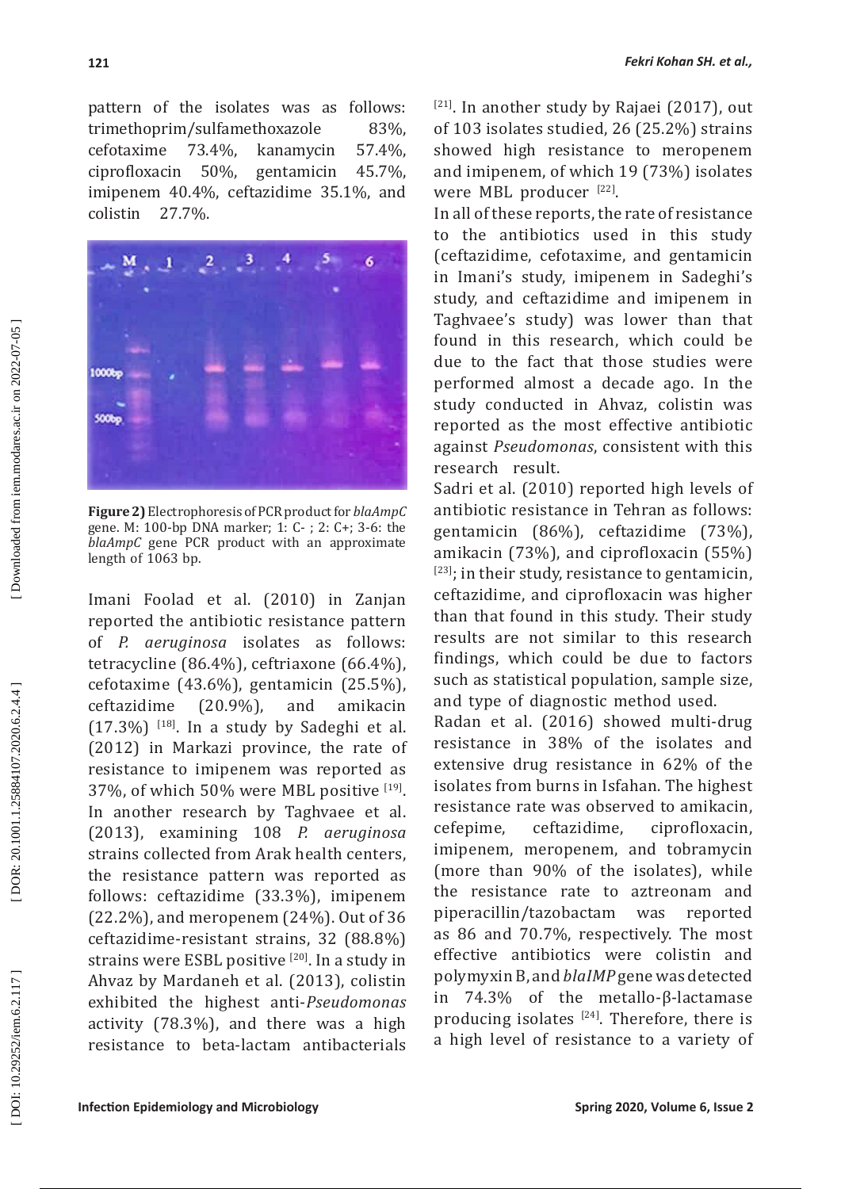pattern of the isolates was as follows: trimethoprim/sulfamethoxazole 83%,<br>cefotaxime 73.4%, kanamycin 57.4%. 73.4%, kanamycin<br>50%, gentamicin ciprofloxacin 50%, gentamicin 45.7%, imipenem 40.4%, ceftazidime 35.1%, and colistin 27.7%.



**Figure 2)** Electrophoresis of PCR product for *blaAmpC* gene. M: 100-bp DNA marker; 1: C- ; 2: C+; 3-6: the *blaAmpC* gene PCR product with an approximate length of 1063 bp.

Imani Foolad et al. (2010) in Zanjan reported the antibiotic resistance pattern of *P. aeruginosa* isolates as follows: tetracycline (86.4%), ceftriaxone (66.4%), cefotaxime  $(43.6\%)$ , gentamicin  $(25.5\%)$ ,<br>ceftazidime  $(20.9\%)$ , and amikacin ceftazidime  $(17.3\%)$  <sup>[18]</sup>. In a study by Sadeghi et al. (2012) in Markazi province, the rate of resistance to imipenem was reported as 37%, of which 50% were MBL positive [19]. In another research by Taghvaee et al. (2013), examining 108 *P. aeruginosa* strains collected from Arak health centers, the resistance pattern was reported as follows: ceftazidime (33.3%), imipenem (22.2%), and meropenem (24%). Out of 36 ceftazidime-resistant strains, 32 (88.8%) strains were ESBL positive [20]. In a study in Ahvaz by Mardaneh et al. (2013), colistin exhibited the highest anti-*Pseudomonas* activity (78.3%), and there was a high resistance to beta-lactam antibacterials

 $[21]$ . In another study by Rajaei (2017), out of 103 isolates studied, 26 (25.2%) strains showed high resistance to meropenem and imipenem, of which 19 (73%) isolates were MBL producer  $[22]$ .

In all of these reports, the rate of resistance to the antibiotics used in this study (ceftazidime, cefotaxime, and gentamicin in Imani's study, imipenem in Sadeghi's study, and ceftazidime and imipenem in Taghvaee's study) was lower than that found in this research, which could be due to the fact that those studies were performed almost a decade ago. In the study conducted in Ahvaz, colistin was reported as the most effective antibiotic against *Pseudomonas*, consistent with this research result.

Sadri et al. (2010) reported high levels of antibiotic resistance in Tehran as follows: gentamicin (86%), ceftazidime (73%), amikacin (73%), and ciprofloxacin (55%)  $[23]$ ; in their study, resistance to gentamicin, ceftazidime, and ciprofloxacin was higher than that found in this study. Their study results are not similar to this research findings, which could be due to factors such as statistical population, sample size, and type of diagnostic method used.

Radan et al. (2016) showed multi-drug resistance in 38% of the isolates and extensive drug resistance in 62% of the isolates from burns in Isfahan. The highest resistance rate was observed to amikacin,<br>cefenime. ceftazidime. cinrofloxacin. cefepime, ceftazidime, ciprofloxacin, imipenem, meropenem, and tobramycin (more than 90% of the isolates), while the resistance rate to aztreonam and piperacillin/tazobactam was reported as 86 and 70.7%, respectively. The most effective antibiotics were colistin and polymyxin B, and *blaIMP* gene was detected in 74.3% of the metallo-β-lactamase producing isolates  $[24]$ . Therefore, there is a high level of resistance to a variety of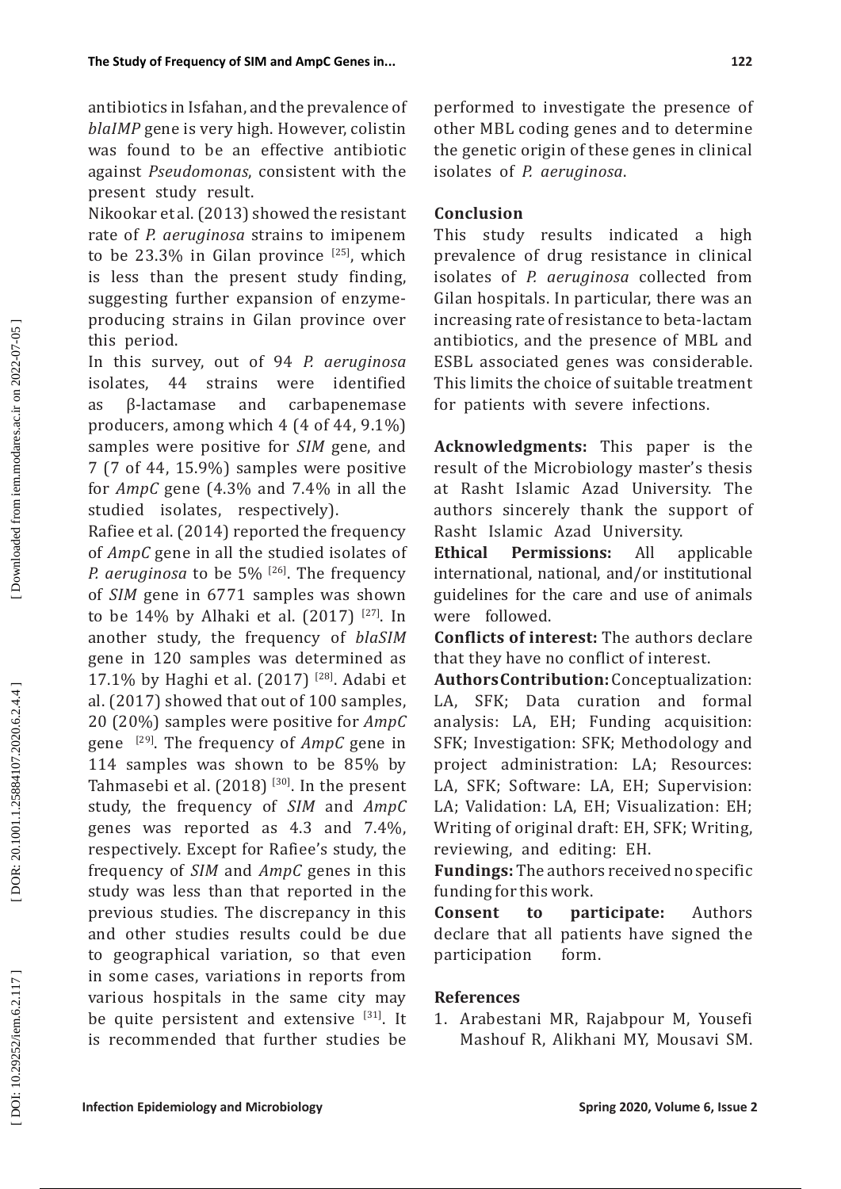antibiotics in Isfahan, and the prevalence of *blaIMP* gene is very high. However, colistin was found to be an effective antibiotic against *Pseudomonas*, consistent with the present study result.

Nikookar et al. (2013) showed the resistant rate of *P. aeruginosa* strains to imipenem to be 23.3% in Gilan province  $[25]$ , which is less than the present study finding, suggesting further expansion of enzymeproducing strains in Gilan province over this period.

In this survey, out of 94 *P. aeruginosa* isolates, 44 strains were identified as β-lactamase and carbapenemase producers, among which 4 (4 of 44, 9.1%) samples were positive for *SIM* gene, and 7 (7 of 44, 15.9%) samples were positive for *AmpC* gene (4.3% and 7.4% in all the studied isolates, respectively).

Rafiee et al. (2014) reported the frequency of *AmpC* gene in all the studied isolates of *P. aeruginosa* to be 5% <sup>[26]</sup>. The frequency of *SIM* gene in 6771 samples was shown to be 14% by Alhaki et al.  $(2017)$  <sup>[27]</sup>. In another study, the frequency of *blaSIM* gene in 120 samples was determined as 17.1% by Haghi et al. (2017) [28]. Adabi et al. (2017) showed that out of 100 samples, 20 (20%) samples were positive for *AmpC* gene [29]. The frequency of *AmpC* gene in 114 samples was shown to be 85% by Tahmasebi et al.  $(2018)$  <sup>[30]</sup>. In the present study, the frequency of *SIM* and *AmpC* genes was reported as 4.3 and 7.4%, respectively. Except for Rafiee's study, the frequency of *SIM* and *AmpC* genes in this study was less than that reported in the previous studies. The discrepancy in this and other studies results could be due to geographical variation, so that even in some cases, variations in reports from various hospitals in the same city may be quite persistent and extensive [31]. It is recommended that further studies be

performed to investigate the presence of other MBL coding genes and to determine the genetic origin of these genes in clinical isolates of *P. aeruginosa* .

# **Conclusion**

This study results indicated a high prevalence of drug resistance in clinical isolates of *P. aeruginosa* collected from Gilan hospitals. In particular, there was an increasing rate of resistance to beta-lactam antibiotics, and the presence of MBL and ESBL associated genes was considerable. This limits the choice of suitable treatment for patients with severe infections.

**Acknowledgments:** This paper is the result of the Microbiology master's thesis at Rasht Islamic Azad University. The authors sincerely thank the support of Rasht Islamic Azad University.<br> **Ethical Permissions:** All a

**Permissions:** All applicable international, national, and/or institutional guidelines for the care and use of animals were followed.

**Conflicts of interest:** The authors declare that they have no conflict of interest.

**Authors Contribution:** Conceptualization: LA, SFK; Data curation and formal analysis: LA, EH; Funding acquisition: SFK; Investigation: SFK; Methodology and project administration: LA; Resources: LA, SFK; Software: LA, EH; Supervision: LA; Validation: LA, EH; Visualization: EH; Writing of original draft: EH, SFK; Writing, reviewing, and editing: EH.

**Fundings:** The authors received no specific funding for this work.

**Consent to participate:** Authors declare that all patients have signed the participation form.

# **References**

1. Arabestani MR, Rajabpour M, Yousefi Mashouf R, Alikhani MY, Mousavi SM.

DOI: 10.29252/iem.6.2.117]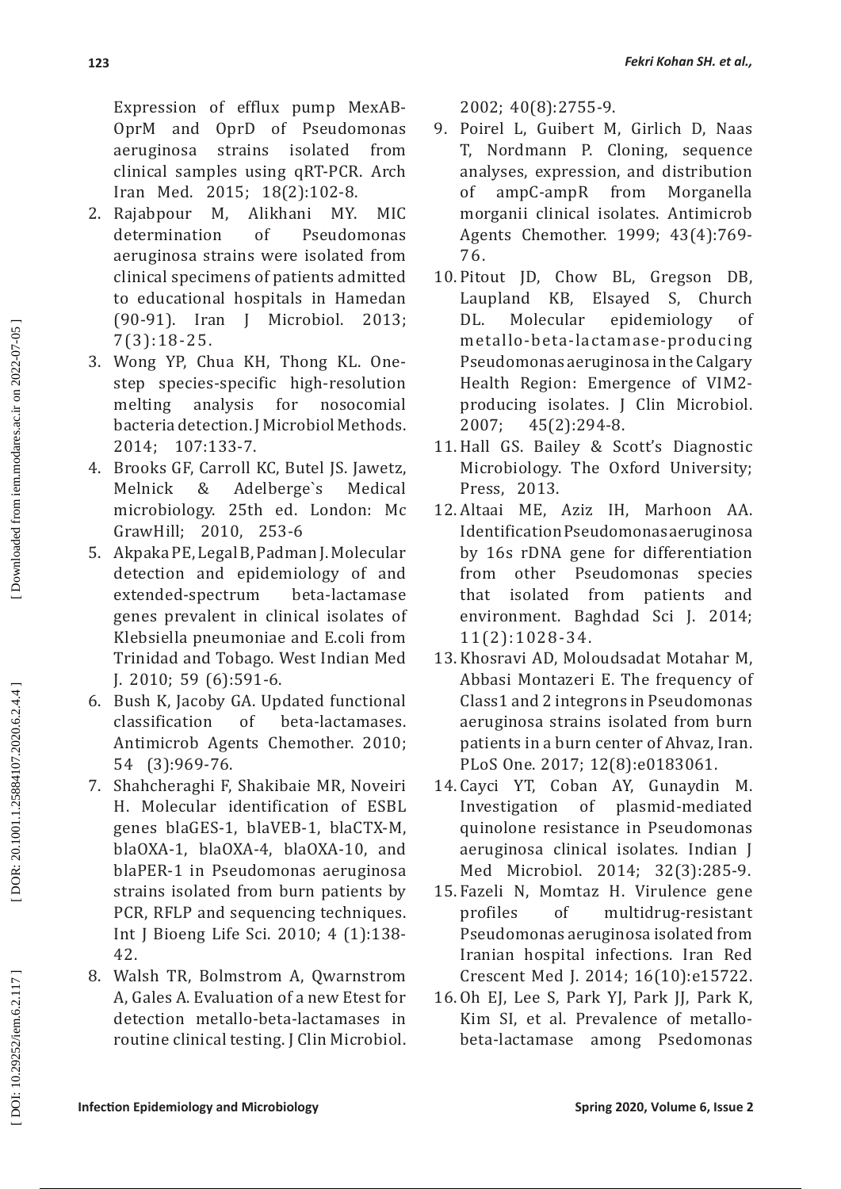Expression of efflux pump MexAB-OprM and OprD of Pseudomonas<br>aeruginosa strains isolated from aeruginosa strains isolated from clinical samples using qRT-PCR. Arch Iran Med. 2015; 18(2):102-8.

- 2. Rajabpour M, Alikhani MY. MIC<br>determination of Pseudomonas determination of Pseudomonas aeruginosa strains were isolated from clinical specimens of patients admitted to educational hospitals in Hamedan<br>(90-91). Iran I Microbiol. 2013: Microbiol. 2013; 7(3):18-25.
- 3. Wong YP, Chua KH, Thong KL. Onestep species-specific high-resolution melting analysis for nosocomial bacteria detection. J Microbiol Methods. 2014; 107:133-7.
- 4. Brooks GF, Carroll KC, Butel JS. Jawetz,<br>Melnick & Adelberge's Medical Adelberge's microbiology. 25th ed. London: Mc GrawHill; 2010, 253-6
- 5. Akpaka PE, Legal B, Padman J. Molecular detection and epidemiology of and<br>extended-spectrum beta-lactamase extended-spectrum genes prevalent in clinical isolates of Klebsiella pneumoniae and E.coli from Trinidad and Tobago. West Indian Med J. 2010; 59 (6):591-6.
- 6. Bush K, Jacoby GA. Updated functional beta-lactamases. Antimicrob Agents Chemother. 2010; 54 (3):969-76.
- 7. Shahcheraghi F, Shakibaie MR, Noveiri H. Molecular identification of ESBL genes blaGES-1, blaVEB-1, blaCTX-M, blaOXA-1, blaOXA-4, blaOXA-10, and blaPER-1 in Pseudomonas aeruginosa strains isolated from burn patients by PCR, RFLP and sequencing techniques. Int J Bioeng Life Sci. 2010; 4 (1):138- 42.
- 8. Walsh TR, Bolmstrom A, Qwarnstrom A, Gales A. Evaluation of a new Etest for detection metallo-beta-lactamases in routine clinical testing. J Clin Microbiol.

2002; 40(8):2755-9.

- 9. Poirel L, Guibert M, Girlich D, Naas T, Nordmann P. Cloning, sequence analyses, expression, and distribution<br>of ampC-ampR from Morganella  $ampC-ampR$ morganii clinical isolates. Antimicrob Agents Chemother. 1999; 43(4):769- 76.
- 10. Pitout JD, Chow BL, Gregson DB, Laupland KB, Elsayed S, Church<br>DL. Molecular epidemiology of DL. Molecular epidemiology of metallo-beta-lactamase-producing Pseudomonas aeruginosa in the Calgary Health Region: Emergence of VIM2 producing isolates. J Clin Microbiol.<br>2007: 45(2):294-8.  $45(2):294-8.$
- 11.Hall GS. Bailey & Scott's Diagnostic Microbiology. The Oxford University; Press, 2013.
- 12. Altaai ME, Aziz IH, Marhoon AA. Identification Pseudomonas aeruginosa by 16s rDNA gene for differentiation from other Pseudomonas species<br>that isolated from patients and that isolated from environment. Baghdad Sci J. 2014; 11(2):1028-34.
- 13. Khosravi AD, Moloudsadat Motahar M, Abbasi Montazeri E. The frequency of Class1 and 2 integrons in Pseudomonas aeruginosa strains isolated from burn patients in a burn center of Ahvaz, Iran. PLoS One. 2017; 12(8):e0183061.
- 14. Cayci YT, Coban AY, Gunaydin M. Investigation of plasmid-mediated quinolone resistance in Pseudomonas aeruginosa clinical isolates. Indian J Med Microbiol. 2014; 32(3):285-9.
- 15. Fazeli N, Momtaz H. Virulence gene profiles of multidrug-resistant Pseudomonas aeruginosa isolated from Iranian hospital infections. Iran Red Crescent Med J. 2014; 16(10):e15722.
- 16. Oh EL Lee S, Park YL Park IL Park K, Kim SI, et al. Prevalence of metallobeta-lactamase among Psedomonas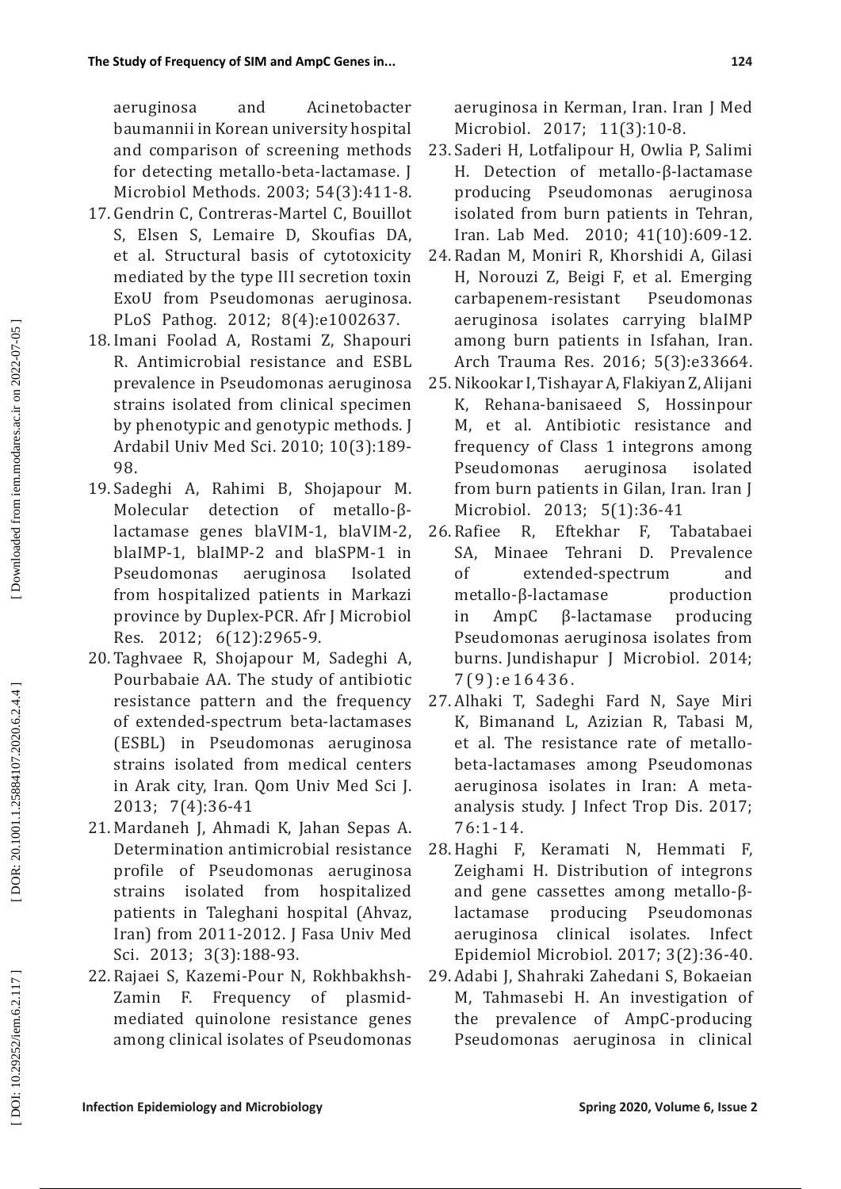aeruginosa and Acinetobacter baumannii in Korean university hospital and comparison of screening methods for detecting metallo-beta-lactamase. J Microbiol Methods. 2003; 54(3):411-8.

- 17. Gendrin C, Contreras-Martel C, Bouillot S, Elsen S, Lemaire D, Skoufias DA, et al. Structural basis of cytotoxicity mediated by the type III secretion toxin ExoU from Pseudomonas aeruginosa. PLoS Pathog. 2012; 8(4):e1002637.
- 18. Imani Foolad A, Rostami Z, Shapouri R. Antimicrobial resistance and ESBL prevalence in Pseudomonas aeruginosa strains isolated from clinical specimen by phenotypic and genotypic methods. J Ardabil Univ Med Sci. 2010; 10(3):189- 98.
- 19. Sadeghi A, Rahimi B, Shojapour M. Molecular detection of metallo-βlactamase genes blaVIM-1, blaVIM-2, blaIMP-1, blaIMP-2 and blaSPM-1 in Pseudomonas aeruginosa Isolated from hospitalized patients in Markazi province by Duplex-PCR. Afr J Microbiol Res. 2012; 6(12):2965-9.
- 20. Taghvaee R, Shojapour M, Sadeghi A, Pourbabaie AA. The study of antibiotic resistance pattern and the frequency of extended-spectrum beta-lactamases (ESBL) in Pseudomonas aeruginosa strains isolated from medical centers in Arak city, Iran. Qom Univ Med Sci J. 2013; 7(4):36-41
- 21. Mardaneh J, Ahmadi K, Jahan Sepas A. Determination antimicrobial resistance profile of Pseudomonas aeruginosa strains isolated from hospitalized patients in Taleghani hospital (Ahvaz, Iran) from 2011-2012. J Fasa Univ Med Sci. 2013; 3(3):188-93.
- 22. Rajaei S, Kazemi-Pour N, Rokhbakhsh-Frequency of plasmidmediated quinolone resistance genes among clinical isolates of Pseudomonas

aeruginosa in Kerman, Iran. Iran J Med Microbiol. 2017; 11(3):10-8.

- 23. Saderi H, Lotfalipour H, Owlia P, Salimi H. Detection of metallo-β-lactamase producing Pseudomonas aeruginosa isolated from burn patients in Tehran, Iran. Lab Med. 2010; 41(10):609-12.
- 24. Radan M, Moniri R, Khorshidi A, Gilasi H, Norouzi Z, Beigi F, et al. Emerging carbapenem-resistant Pseudomonas aeruginosa isolates carrying blaIMP among burn patients in Isfahan, Iran. Arch Trauma Res. 2016; 5(3):e33664.
- 25.Nikookar I, Tishayar A, Flakiyan Z, Alijani K, Rehana-banisaeed S, Hossinpour M, et al. Antibiotic resistance and frequency of Class 1 integrons among Pseudomonas aeruginosa isolated from burn patients in Gilan, Iran. Iran J Microbiol. 2013; 5(1):36-41<br>26. Rafiee R. Eftekhar F. Ta
- F, Tabatabaei<br>D. Prevalence SA, Minaee Tehrani of extended-spectrum and metallo-β-lactamase production in AmpC β-lactamase producing Pseudomonas aeruginosa isolates from burns. Jundishapur J Microbiol. 2014; 7(9):e16436.
- 27. Alhaki T, Sadeghi Fard N, Saye Miri K, Bimanand L, Azizian R, Tabasi M, et al. The resistance rate of metallobeta-lactamases among Pseudomonas aeruginosa isolates in Iran: A metaanalysis study. J Infect Trop Dis. 2017; 76:1-14.
- 28.Haghi F, Keramati N, Hemmati F, Zeighami H. Distribution of integrons and gene cassettes among metallo-βlactamase producing Pseudomonas<br>aeruginosa clinical isolates. Infect aeruginosa clinical isolates. Epidemiol Microbiol. 2017; 3(2):36-40.
- 29. Adabi J, Shahraki Zahedani S, Bokaeian M, Tahmasebi H. An investigation of the prevalence of AmpC-producing Pseudomonas aeruginosa in clinical

DOI: 10.29252/iem.6.2.117]